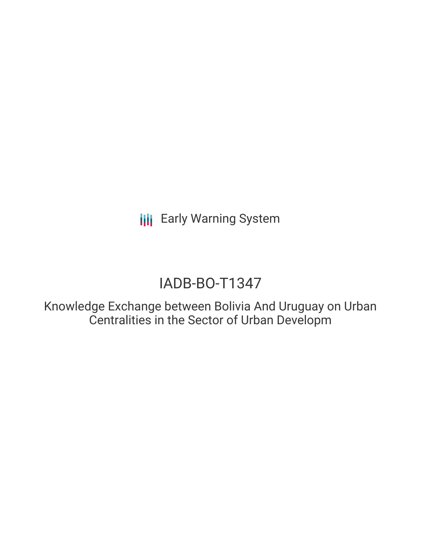**III** Early Warning System

# IADB-BO-T1347

Knowledge Exchange between Bolivia And Uruguay on Urban Centralities in the Sector of Urban Developm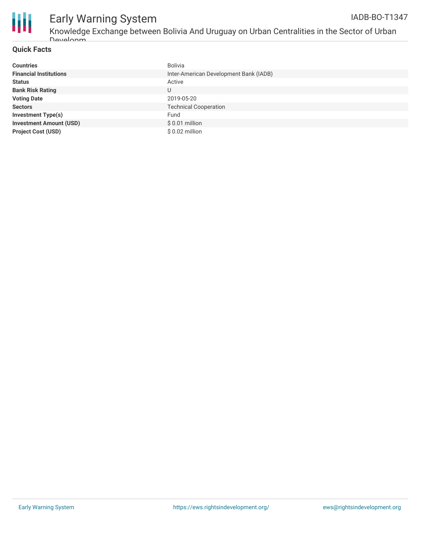

## Early Warning System

Developm

#### **Quick Facts**

| <b>Countries</b>               | Bolivia                                |
|--------------------------------|----------------------------------------|
| <b>Financial Institutions</b>  | Inter-American Development Bank (IADB) |
| <b>Status</b>                  | Active                                 |
| <b>Bank Risk Rating</b>        | U                                      |
| <b>Voting Date</b>             | 2019-05-20                             |
| <b>Sectors</b>                 | <b>Technical Cooperation</b>           |
| <b>Investment Type(s)</b>      | Fund                                   |
| <b>Investment Amount (USD)</b> | $$0.01$ million                        |
| <b>Project Cost (USD)</b>      | \$ 0.02 million                        |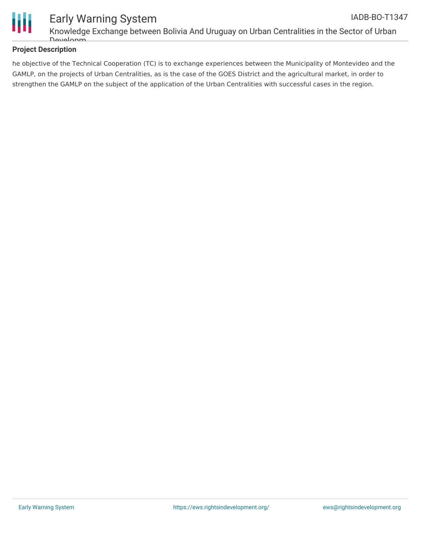

### **Project Description**

he objective of the Technical Cooperation (TC) is to exchange experiences between the Municipality of Montevideo and the GAMLP, on the projects of Urban Centralities, as is the case of the GOES District and the agricultural market, in order to strengthen the GAMLP on the subject of the application of the Urban Centralities with successful cases in the region.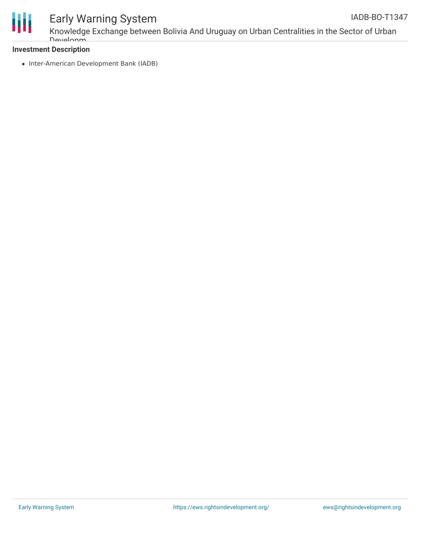

## Early Warning System

Knowledge Exchange between Bolivia And Uruguay on Urban Centralities in the Sector of Urban Developm

### **Investment Description**

• Inter-American Development Bank (IADB)